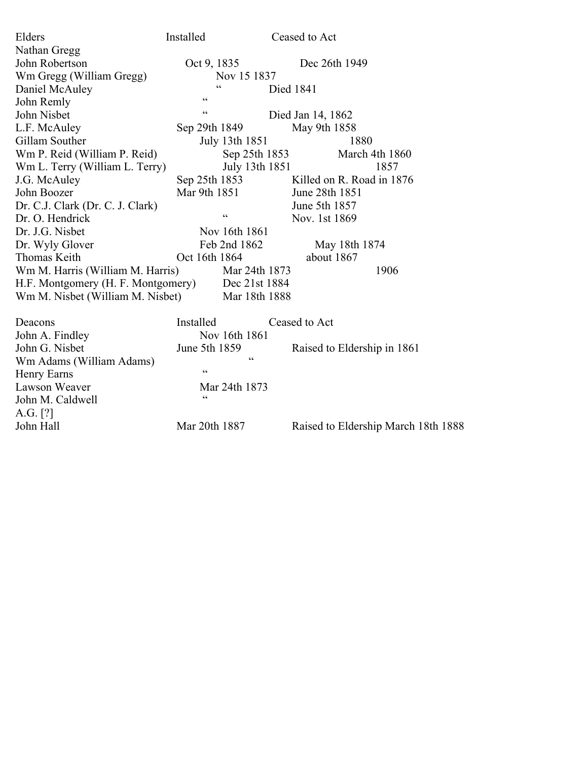| Elders                                              | Installed       | Ceased to Act                       |
|-----------------------------------------------------|-----------------|-------------------------------------|
| Nathan Gregg                                        |                 |                                     |
| John Robertson                                      | Oct 9, 1835     | Dec 26th 1949                       |
| Wm Gregg (William Gregg)                            | Nov 15 1837     |                                     |
| Daniel McAuley                                      | 66              | Died 1841                           |
| John Remly                                          | $\zeta$ $\zeta$ |                                     |
| John Nisbet                                         | $\zeta$ $\zeta$ | Died Jan 14, 1862                   |
| L.F. McAuley                                        | Sep 29th 1849   | May 9th 1858                        |
| Gillam Souther                                      | July 13th 1851  | 1880                                |
| Wm P. Reid (William P. Reid)                        | Sep 25th 1853   | March 4th 1860                      |
| Wm L. Terry (William L. Terry)                      | July 13th 1851  | 1857                                |
| J.G. McAuley                                        | Sep 25th 1853   | Killed on R. Road in 1876           |
| John Boozer                                         | Mar 9th 1851    | June 28th 1851                      |
| Dr. C.J. Clark (Dr. C. J. Clark)                    |                 | June 5th 1857                       |
| Dr. O. Hendrick                                     | $\zeta$ $\zeta$ | Nov. 1st 1869                       |
| Dr. J.G. Nisbet                                     | Nov 16th 1861   |                                     |
| Dr. Wyly Glover                                     | Feb 2nd 1862    | May 18th 1874                       |
| Thomas Keith                                        | Oct 16th 1864   | about 1867                          |
| Wm M. Harris (William M. Harris)                    | Mar 24th 1873   | 1906                                |
| H.F. Montgomery (H. F. Montgomery)<br>Dec 21st 1884 |                 |                                     |
| Wm M. Nisbet (William M. Nisbet)<br>Mar 18th 1888   |                 |                                     |
| Deacons                                             | Installed       | Ceased to Act                       |
| John A. Findley                                     | Nov 16th 1861   |                                     |
| John G. Nisbet                                      | June 5th 1859   | Raised to Eldership in 1861         |
| Wm Adams (William Adams)                            | 66              |                                     |
| Henry Earns                                         | $\zeta$ $\zeta$ |                                     |
| Lawson Weaver                                       | Mar 24th 1873   |                                     |
| John M. Caldwell                                    | 66              |                                     |
| A.G. $[?]$                                          |                 |                                     |
| John Hall                                           | Mar 20th 1887   | Raised to Eldership March 18th 1888 |
|                                                     |                 |                                     |